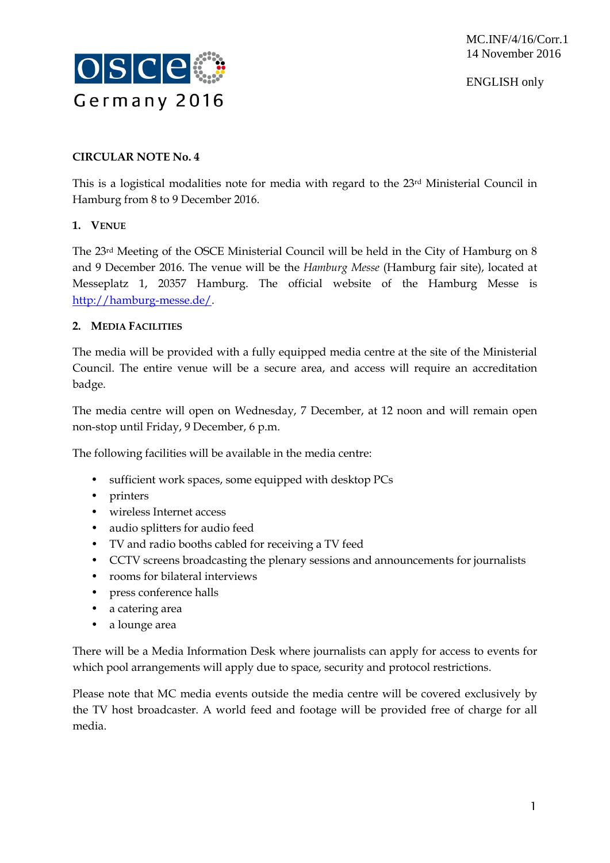

ENGLISH only

## **CIRCULAR NOTE No. 4**

This is a logistical modalities note for media with regard to the 23rd Ministerial Council in Hamburg from 8 to 9 December 2016.

## **1. VENUE**

The 23rd Meeting of the OSCE Ministerial Council will be held in the City of Hamburg on 8 and 9 December 2016. The venue will be the *Hamburg Messe* (Hamburg fair site), located at Messeplatz 1, 20357 Hamburg. The official website of the Hamburg Messe is [http://hamburg-messe.de/.](http://hamburg-messe.de/)

## **2. MEDIA FACILITIES**

The media will be provided with a fully equipped media centre at the site of the Ministerial Council. The entire venue will be a secure area, and access will require an accreditation badge.

The media centre will open on Wednesday, 7 December, at 12 noon and will remain open non-stop until Friday, 9 December, 6 p.m.

The following facilities will be available in the media centre:

- sufficient work spaces, some equipped with desktop PCs
- printers
- wireless Internet access
- audio splitters for audio feed
- TV and radio booths cabled for receiving a TV feed
- CCTV screens broadcasting the plenary sessions and announcements for journalists
- rooms for bilateral interviews
- press conference halls
- a catering area
- a lounge area

There will be a Media Information Desk where journalists can apply for access to events for which pool arrangements will apply due to space, security and protocol restrictions.

Please note that MC media events outside the media centre will be covered exclusively by the TV host broadcaster. A world feed and footage will be provided free of charge for all media.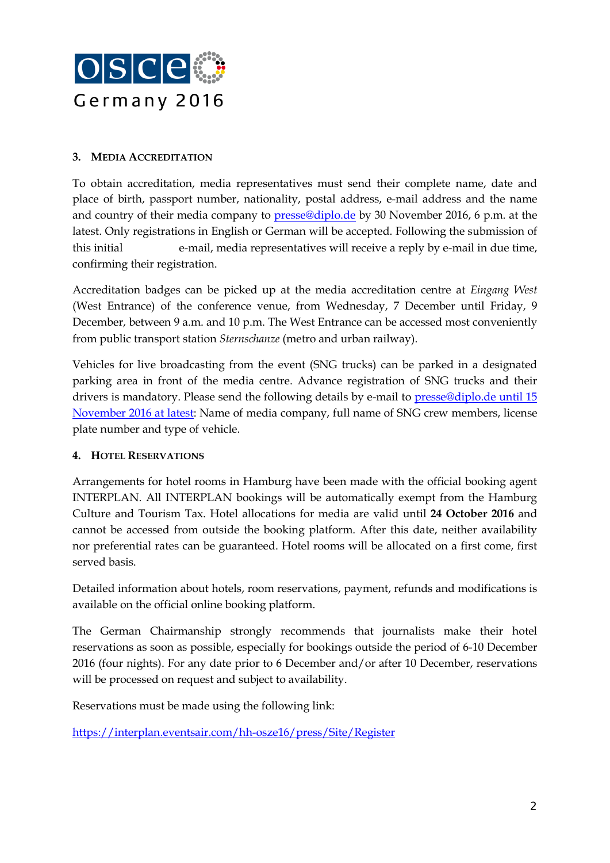

### **3. MEDIA ACCREDITATION**

To obtain accreditation, media representatives must send their complete name, date and place of birth, passport number, nationality, postal address, e-mail address and the name and country of their media company to [presse@diplo.de](mailto:presse@diplo.de) by 30 November 2016, 6 p.m. at the latest. Only registrations in English or German will be accepted. Following the submission of this initial e-mail, media representatives will receive a reply by e-mail in due time, confirming their registration.

Accreditation badges can be picked up at the media accreditation centre at *Eingang West* (West Entrance) of the conference venue, from Wednesday, 7 December until Friday, 9 December, between 9 a.m. and 10 p.m. The West Entrance can be accessed most conveniently from public transport station *Sternschanze* (metro and urban railway).

Vehicles for live broadcasting from the event (SNG trucks) can be parked in a designated parking area in front of the media centre. Advance registration of SNG trucks and their drivers is mandatory. Please send the following details by e-mail to [presse@diplo.de](mailto:presse@diplo.de) until 15 November 2016 at latest: Name of media company, full name of SNG crew members, license plate number and type of vehicle.

## **4. HOTEL RESERVATIONS**

Arrangements for hotel rooms in Hamburg have been made with the official booking agent INTERPLAN. All INTERPLAN bookings will be automatically exempt from the Hamburg Culture and Tourism Tax. Hotel allocations for media are valid until **24 October 2016** and cannot be accessed from outside the booking platform. After this date, neither availability nor preferential rates can be guaranteed. Hotel rooms will be allocated on a first come, first served basis.

Detailed information about hotels, room reservations, payment, refunds and modifications is available on the official online booking platform.

The German Chairmanship strongly recommends that journalists make their hotel reservations as soon as possible, especially for bookings outside the period of 6-10 December 2016 (four nights). For any date prior to 6 December and/or after 10 December, reservations will be processed on request and subject to availability.

Reservations must be made using the following link:

<https://interplan.eventsair.com/hh-osze16/press/Site/Register>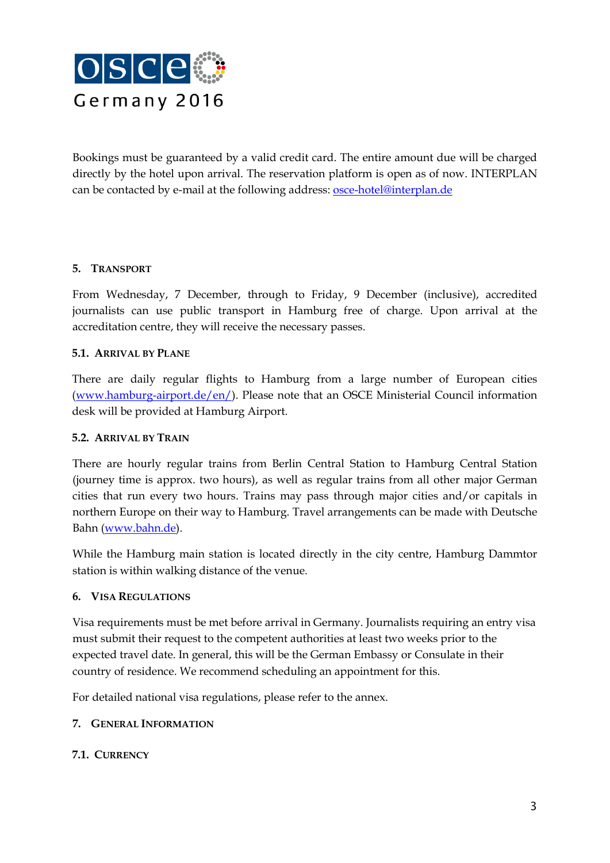

Bookings must be guaranteed by a valid credit card. The entire amount due will be charged directly by the hotel upon arrival. The reservation platform is open as of now. INTERPLAN can be contacted by e-mail at the following address: [osce-hotel@interplan.de](mailto:osce-hotel@interplan.de)

## **5. TRANSPORT**

From Wednesday, 7 December, through to Friday, 9 December (inclusive), accredited journalists can use public transport in Hamburg free of charge. Upon arrival at the accreditation centre, they will receive the necessary passes.

#### **5.1. ARRIVAL BY PLANE**

There are daily regular flights to Hamburg from a large number of European cities [\(www.hamburg-airport.de/en/\)](http://www.hamburg-airport.de/en/). Please note that an OSCE Ministerial Council information desk will be provided at Hamburg Airport.

#### **5.2. ARRIVAL BY TRAIN**

There are hourly regular trains from Berlin Central Station to Hamburg Central Station (journey time is approx. two hours), as well as regular trains from all other major German cities that run every two hours. Trains may pass through major cities and/or capitals in northern Europe on their way to Hamburg. Travel arrangements can be made with Deutsche Bahn (www.bahn.de).

While the Hamburg main station is located directly in the city centre, Hamburg Dammtor station is within walking distance of the venue.

#### **6. VISA REGULATIONS**

Visa requirements must be met before arrival in Germany. Journalists requiring an entry visa must submit their request to the competent authorities at least two weeks prior to the expected travel date. In general, this will be the German Embassy or Consulate in their country of residence. We recommend scheduling an appointment for this.

For detailed national visa regulations, please refer to the annex.

#### **7. GENERAL INFORMATION**

#### **7.1. CURRENCY**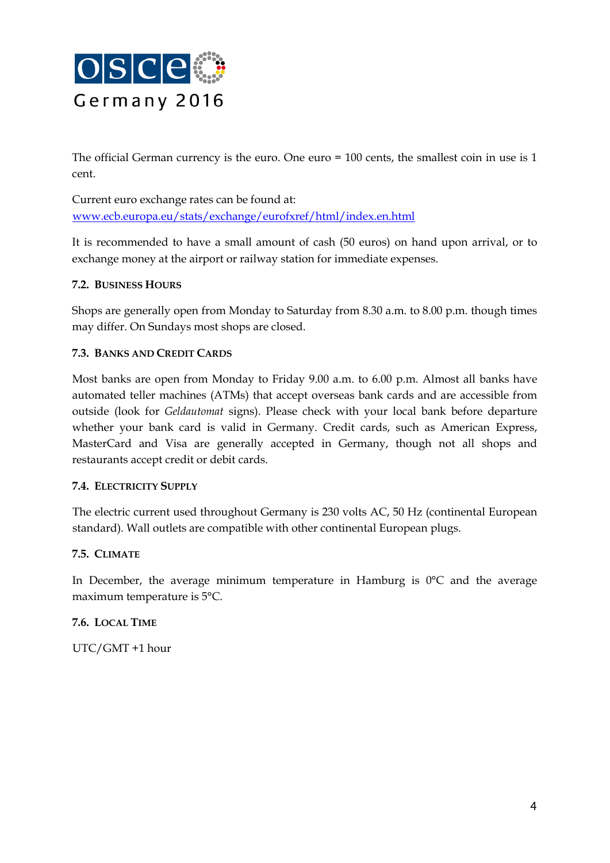

The official German currency is the euro. One euro = 100 cents, the smallest coin in use is 1 cent.

Current euro exchange rates can be found at: www.ecb.europa.eu/stats/exchange/eurofxref/html/index.en.html

It is recommended to have a small amount of cash (50 euros) on hand upon arrival, or to exchange money at the airport or railway station for immediate expenses.

## **7.2. BUSINESS HOURS**

Shops are generally open from Monday to Saturday from 8.30 a.m. to 8.00 p.m. though times may differ. On Sundays most shops are closed.

## **7.3. BANKS AND CREDIT CARDS**

Most banks are open from Monday to Friday 9.00 a.m. to 6.00 p.m. Almost all banks have automated teller machines (ATMs) that accept overseas bank cards and are accessible from outside (look for *Geldautomat* signs). Please check with your local bank before departure whether your bank card is valid in Germany. Credit cards, such as American Express, MasterCard and Visa are generally accepted in Germany, though not all shops and restaurants accept credit or debit cards.

#### **7.4. ELECTRICITY SUPPLY**

The electric current used throughout Germany is 230 volts AC, 50 Hz (continental European standard). Wall outlets are compatible with other continental European plugs.

#### **7.5. CLIMATE**

In December, the average minimum temperature in Hamburg is  $0^{\circ}C$  and the average maximum temperature is 5°C.

#### **7.6. LOCAL TIME**

UTC/GMT +1 hour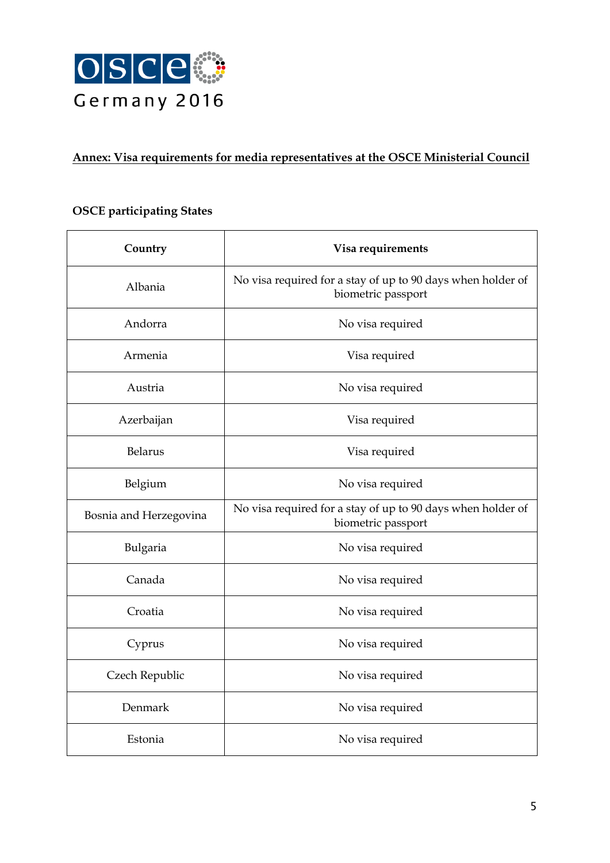

## **Annex: Visa requirements for media representatives at the OSCE Ministerial Council**

## **OSCE participating States**

| Country                | Visa requirements                                                                 |
|------------------------|-----------------------------------------------------------------------------------|
| Albania                | No visa required for a stay of up to 90 days when holder of<br>biometric passport |
| Andorra                | No visa required                                                                  |
| Armenia                | Visa required                                                                     |
| Austria                | No visa required                                                                  |
| Azerbaijan             | Visa required                                                                     |
| <b>Belarus</b>         | Visa required                                                                     |
| Belgium                | No visa required                                                                  |
| Bosnia and Herzegovina | No visa required for a stay of up to 90 days when holder of<br>biometric passport |
| Bulgaria               | No visa required                                                                  |
| Canada                 | No visa required                                                                  |
| Croatia                | No visa required                                                                  |
| Cyprus                 | No visa required                                                                  |
| Czech Republic         | No visa required                                                                  |
| Denmark                | No visa required                                                                  |
| Estonia                | No visa required                                                                  |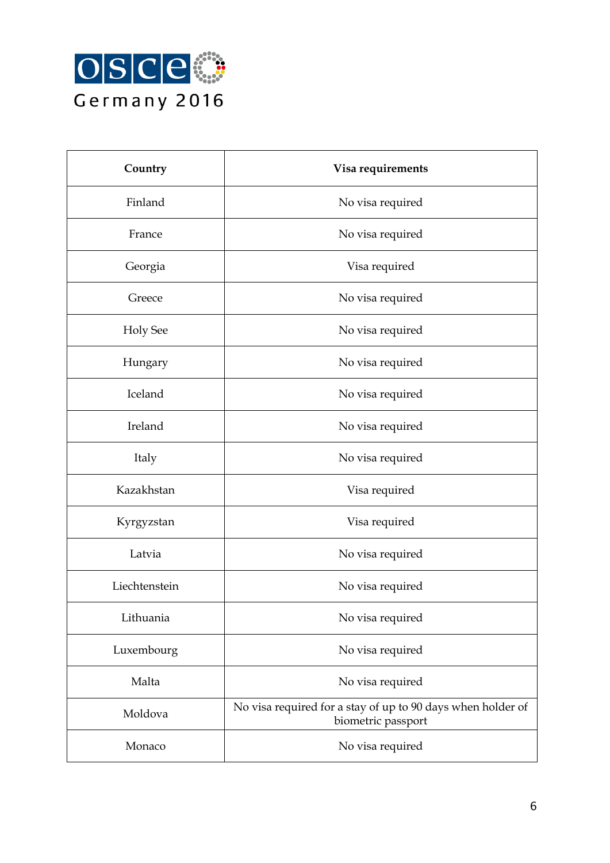

| Country         | Visa requirements                                                                 |
|-----------------|-----------------------------------------------------------------------------------|
| Finland         | No visa required                                                                  |
| France          | No visa required                                                                  |
| Georgia         | Visa required                                                                     |
| Greece          | No visa required                                                                  |
| <b>Holy See</b> | No visa required                                                                  |
| Hungary         | No visa required                                                                  |
| Iceland         | No visa required                                                                  |
| Ireland         | No visa required                                                                  |
| Italy           | No visa required                                                                  |
| Kazakhstan      | Visa required                                                                     |
| Kyrgyzstan      | Visa required                                                                     |
| Latvia          | No visa required                                                                  |
| Liechtenstein   | No visa required                                                                  |
| Lithuania       | No visa required                                                                  |
| Luxembourg      | No visa required                                                                  |
| Malta           | No visa required                                                                  |
| Moldova         | No visa required for a stay of up to 90 days when holder of<br>biometric passport |
| Monaco          | No visa required                                                                  |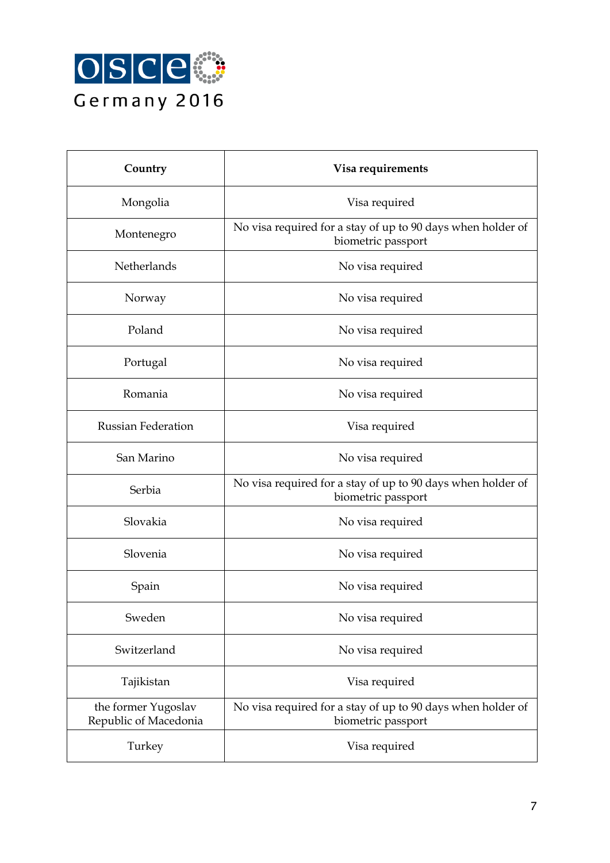

| Country                                      | Visa requirements                                                                 |
|----------------------------------------------|-----------------------------------------------------------------------------------|
| Mongolia                                     | Visa required                                                                     |
| Montenegro                                   | No visa required for a stay of up to 90 days when holder of<br>biometric passport |
| Netherlands                                  | No visa required                                                                  |
| Norway                                       | No visa required                                                                  |
| Poland                                       | No visa required                                                                  |
| Portugal                                     | No visa required                                                                  |
| Romania                                      | No visa required                                                                  |
| <b>Russian Federation</b>                    | Visa required                                                                     |
| San Marino                                   | No visa required                                                                  |
| Serbia                                       | No visa required for a stay of up to 90 days when holder of<br>biometric passport |
| Slovakia                                     | No visa required                                                                  |
| Slovenia                                     | No visa required                                                                  |
| Spain                                        | No visa required                                                                  |
| Sweden                                       | No visa required                                                                  |
| Switzerland                                  | No visa required                                                                  |
| Tajikistan                                   | Visa required                                                                     |
| the former Yugoslav<br>Republic of Macedonia | No visa required for a stay of up to 90 days when holder of<br>biometric passport |
| Turkey                                       | Visa required                                                                     |